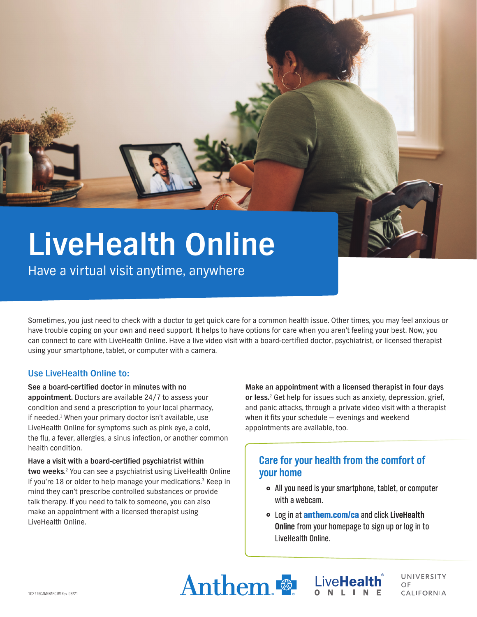

Have a virtual visit anytime, anywhere

Sometimes, you just need to check with a doctor to get quick care for a common health issue. Other times, you may feel anxious or have trouble coping on your own and need support. It helps to have options for care when you aren't feeling your best. Now, you can connect to care with LiveHealth Online. Have a live video visit with a board-certified doctor, psychiatrist, or licensed therapist using your smartphone, tablet, or computer with a camera.

## **Use LiveHealth Online to:**

#### **See a board-certified doctor in minutes with no**

**appointment.** Doctors are available 24/7 to assess your condition and send a prescription to your local pharmacy, if needed.<sup>1</sup> When your primary doctor isn't available, use LiveHealth Online for symptoms such as pink eye, a cold, the flu, a fever, allergies, a sinus infection, or another common health condition.

**Have a visit with a board-certified psychiatrist within two weeks**. <sup>2</sup> You can see a psychiatrist using LiveHealth Online if you're 18 or older to help manage your medications.<sup>3</sup> Keep in mind they can't prescribe controlled substances or provide talk therapy. If you need to talk to someone, you can also make an appointment with a licensed therapist using LiveHealth Online.

**Make an appointment with a licensed therapist in four days or less.**<sup>2</sup> Get help for issues such as anxiety, depression, grief, and panic attacks, through a private video visit with a therapist when it fits your schedule — evenings and weekend appointments are available, too.

# **Care for your health from the comfort of your home**

- All you need is your smartphone, tablet, or computer with a webcam.
- } Log in at anthem.com/ca and click **LiveHealth Online** from your homepage to sign up or log in to LiveHealth Online.





UNIVERSITY  $\bigcap F$ **CALIFORNIA**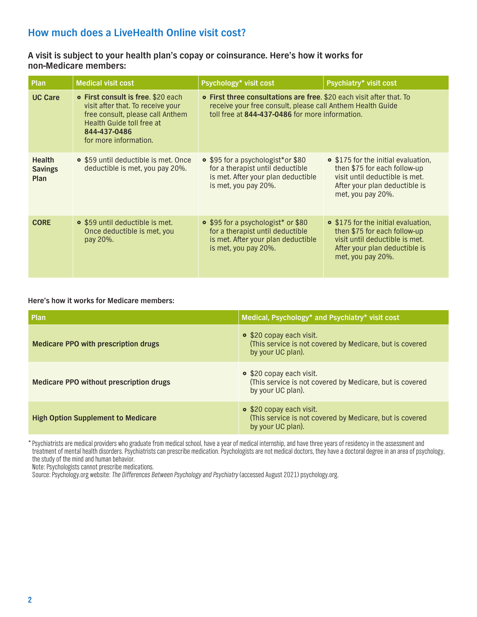# **How much does a LiveHealth Online visit cost?**

## **A visit is subject to your health plan's copay or coinsurance. Here's how it works for non-Medicare members:**

| Plan                                    | <b>Medical visit cost</b>                                                                                                                                                                | Psychology* visit cost                                                                                                                                                                | Psychiatry* visit cost                                                                                                                                      |
|-----------------------------------------|------------------------------------------------------------------------------------------------------------------------------------------------------------------------------------------|---------------------------------------------------------------------------------------------------------------------------------------------------------------------------------------|-------------------------------------------------------------------------------------------------------------------------------------------------------------|
| <b>UC Care</b>                          | <b>• First consult is free. \$20 each</b><br>visit after that. To receive your<br>free consult, please call Anthem<br>Health Guide toll free at<br>844-437-0486<br>for more information. | • First three consultations are free. \$20 each visit after that. To<br>receive your free consult, please call Anthem Health Guide<br>toll free at 844-437-0486 for more information. |                                                                                                                                                             |
| <b>Health</b><br><b>Savings</b><br>Plan | • \$59 until deductible is met. Once<br>deductible is met, you pay 20%.                                                                                                                  | • \$95 for a psychologist*or \$80<br>for a therapist until deductible<br>is met. After your plan deductible<br>is met, you pay 20%.                                                   | • \$175 for the initial evaluation,<br>then \$75 for each follow-up<br>visit until deductible is met.<br>After your plan deductible is<br>met, you pay 20%. |
| <b>CORE</b>                             | • \$59 until deductible is met.<br>Once deductible is met, you<br>pay 20%.                                                                                                               | • \$95 for a psychologist* or \$80<br>for a therapist until deductible<br>is met. After your plan deductible<br>is met, you pay 20%.                                                  | • \$175 for the initial evaluation,<br>then \$75 for each follow-up<br>visit until deductible is met.<br>After your plan deductible is<br>met, you pay 20%. |

### **Here's how it works for Medicare members:**

| Plan                                           | Medical, Psychology* and Psychiatry* visit cost                                                           |
|------------------------------------------------|-----------------------------------------------------------------------------------------------------------|
| <b>Medicare PPO with prescription drugs</b>    | • \$20 copay each visit.<br>(This service is not covered by Medicare, but is covered<br>by your UC plan). |
| <b>Medicare PPO without prescription drugs</b> | • \$20 copay each visit.<br>(This service is not covered by Medicare, but is covered<br>by your UC plan). |
| <b>High Option Supplement to Medicare</b>      | • \$20 copay each visit.<br>(This service is not covered by Medicare, but is covered<br>by your UC plan). |

\* Psychiatrists are medical providers who graduate from medical school, have a year of medical internship, and have three years of residency in the assessment and treatment of mental health disorders. Psychiatrists can prescribe medication. Psychologists are not medical doctors, they have a doctoral degree in an area of psychology, the study of the mind and human behavior.

Note: Psychologists cannot prescribe medications.

Source: Psychology.org website: The Differences Between Psychology and Psychiatry (accessed August 2021) psychology.org.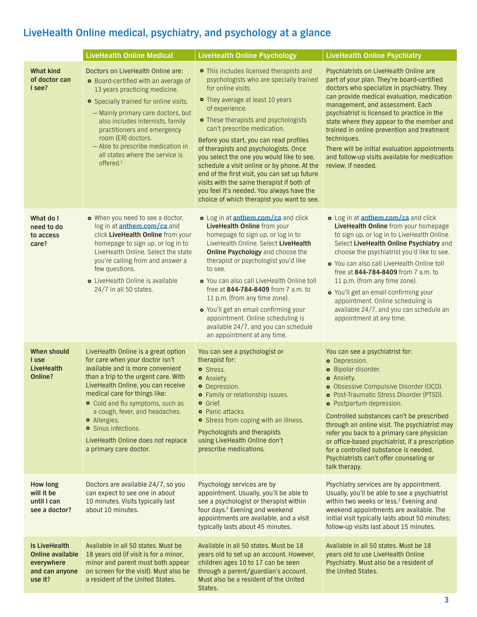# **LiveHealth Online medical, psychiatry, and psychology at a glance**

|                                                                                     | <b>LiveHealth Online Medical</b>                                                                                                                                                                                                                                                                                                                                                                              | <b>LiveHealth Online Psychology</b>                                                                                                                                                                                                                                                                                                                                                                                                                                                                                                                                                                            | <b>LiveHealth Online Psychiatry</b>                                                                                                                                                                                                                                                                                                                                                                                                                                                                                       |
|-------------------------------------------------------------------------------------|---------------------------------------------------------------------------------------------------------------------------------------------------------------------------------------------------------------------------------------------------------------------------------------------------------------------------------------------------------------------------------------------------------------|----------------------------------------------------------------------------------------------------------------------------------------------------------------------------------------------------------------------------------------------------------------------------------------------------------------------------------------------------------------------------------------------------------------------------------------------------------------------------------------------------------------------------------------------------------------------------------------------------------------|---------------------------------------------------------------------------------------------------------------------------------------------------------------------------------------------------------------------------------------------------------------------------------------------------------------------------------------------------------------------------------------------------------------------------------------------------------------------------------------------------------------------------|
| <b>What kind</b><br>of doctor can<br>I see?                                         | Doctors on LiveHealth Online are:<br>• Board-certified with an average of<br>13 years practicing medicine.<br>• Specially trained for online visits.<br>- Mainly primary care doctors, but<br>also includes internists, family<br>practitioners and emergency<br>room (ER) doctors.<br>- Able to prescribe medication in<br>all states where the service is<br>offered. <sup>1</sup>                          | • This includes licensed therapists and<br>psychologists who are specially trained<br>for online visits.<br>• They average at least 10 years<br>of experience.<br>• These therapists and psychologists<br>can't prescribe medication.<br>Before you start, you can read profiles<br>of therapists and psychologists. Once<br>you select the one you would like to see,<br>schedule a visit online or by phone. At the<br>end of the first visit, you can set up future<br>visits with the same therapist if both of<br>you feel it's needed. You always have the<br>choice of which therapist you want to see. | Psychiatrists on LiveHealth Online are<br>part of your plan. They're board-certified<br>doctors who specialize in psychiatry. They<br>can provide medical evaluation, medication<br>management, and assessment. Each<br>psychiatrist is licensed to practice in the<br>state where they appear to the member and<br>trained in online prevention and treatment<br>techniques.<br>There will be initial evaluation appointments<br>and follow-up visits available for medication<br>review, if needed.                     |
| What do I<br>need to do<br>to access<br>care?                                       | • When you need to see a doctor,<br>log in at <b>anthem.com/ca</b> and<br>click LiveHealth Online from your<br>homepage to sign up, or log in to<br>LiveHealth Online, Select the state<br>you're calling from and answer a<br>few questions.<br>• LiveHealth Online is available<br>24/7 in all 50 states.                                                                                                   | o Log in at <b>anthem.com/ca</b> and click<br>LiveHealth Online from your<br>homepage to sign up, or log in to<br>LiveHealth Online. Select LiveHealth<br>Online Psychology and choose the<br>therapist or psychologist you'd like<br>to see.<br>. You can also call LiveHealth Online toll<br>free at 844-784-8409 from 7 a.m. to<br>11 p.m. (from any time zone).<br>o You'll get an email confirming your<br>appointment. Online scheduling is<br>available 24/7, and you can schedule<br>an appointment at any time.                                                                                       | o Log in at <b>anthem.com/ca</b> and click<br>LiveHealth Online from your homepage<br>to sign up, or log in to LiveHealth Online.<br>Select LiveHealth Online Psychiatry and<br>choose the psychiatrist you'd like to see.<br>o You can also call LiveHealth Online toll<br>free at 844-784-8409 from 7 a.m. to<br>11 p.m. (from any time zone).<br>o You'll get an email confirming your<br>appointment. Online scheduling is<br>available 24/7, and you can schedule an<br>appointment at any time.                     |
| <b>When should</b><br>I use<br><b>LiveHealth</b><br>Online?                         | LiveHealth Online is a great option<br>for care when your doctor isn't<br>available and is more convenient<br>than a trip to the urgent care. With<br>LiveHealth Online, you can receive<br>medical care for things like:<br>• Cold and flu symptoms, such as<br>a cough, fever, and headaches.<br>· Allergies.<br><b>o</b> Sinus infections.<br>LiveHealth Online does not replace<br>a primary care doctor. | You can see a psychologist or<br>therapist for:<br>o Stress.<br>· Anxiety.<br><b>o</b> Depression.<br>• Family or relationship issues.<br><b>•</b> Grief.<br><b>•</b> Panic attacks.<br>• Stress from coping with an illness.<br>Psychologists and therapists<br>using LiveHealth Online don't<br>prescribe medications.                                                                                                                                                                                                                                                                                       | You can see a psychiatrist for:<br><b>o</b> Depression.<br>· Bipolar disorder.<br><b>o</b> Anxiety.<br>o Obsessive Compulsive Disorder (OCD).<br>· Post-Traumatic Stress Disorder (PTSD).<br>• Postpartum depression.<br>Controlled substances can't be prescribed<br>through an online visit. The psychiatrist may<br>refer you back to a primary care physician<br>or office-based psychiatrist, if a prescription<br>for a controlled substance is needed.<br>Psychiatrists can't offer counseling or<br>talk therapy. |
| <b>How long</b><br>will it be<br>until I can<br>see a doctor?                       | Doctors are available 24/7, so you<br>can expect to see one in about<br>10 minutes. Visits typically last<br>about 10 minutes.                                                                                                                                                                                                                                                                                | Psychology services are by<br>appointment. Usually, you'll be able to<br>see a psychologist or therapist within<br>four days. <sup>2</sup> Evening and weekend<br>appointments are available, and a visit<br>typically lasts about 45 minutes.                                                                                                                                                                                                                                                                                                                                                                 | Psychiatry services are by appointment.<br>Usually, you'll be able to see a psychiatrist<br>within two weeks or less. <sup>2</sup> Evening and<br>weekend appointments are available. The<br>initial visit typically lasts about 50 minutes;<br>follow-up visits last about 15 minutes.                                                                                                                                                                                                                                   |
| <b>Is LiveHealth</b><br>Online available<br>everywhere<br>and can anyone<br>use it? | Available in all 50 states. Must be<br>18 years old (if visit is for a minor,<br>minor and parent must both appear<br>on screen for the visit). Must also be<br>a resident of the United States.                                                                                                                                                                                                              | Available in all 50 states. Must be 18<br>years old to set up an account. However,<br>children ages 10 to 17 can be seen<br>through a parent/guardian's account.<br>Must also be a resident of the United<br>States.                                                                                                                                                                                                                                                                                                                                                                                           | Available in all 50 states. Must be 18<br>years old to use LiveHealth Online<br>Psychiatry. Must also be a resident of<br>the United States.                                                                                                                                                                                                                                                                                                                                                                              |